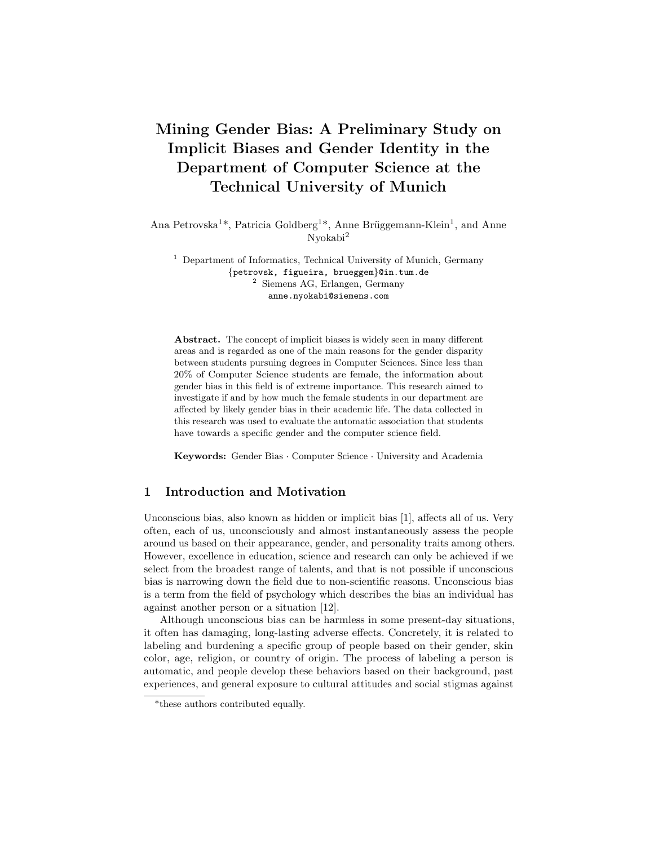# Mining Gender Bias: A Preliminary Study on Implicit Biases and Gender Identity in the Department of Computer Science at the Technical University of Munich

Ana Petrovska<sup>1\*</sup>, Patricia Goldberg<sup>1\*</sup>, Anne Brüggemann-Klein<sup>1</sup>, and Anne Nyokabi<sup>2</sup>

<sup>1</sup> Department of Informatics, Technical University of Munich, Germany {petrovsk, figueira, brueggem}@in.tum.de <sup>2</sup> Siemens AG, Erlangen, Germany anne.nyokabi@siemens.com

Abstract. The concept of implicit biases is widely seen in many different areas and is regarded as one of the main reasons for the gender disparity between students pursuing degrees in Computer Sciences. Since less than 20% of Computer Science students are female, the information about gender bias in this field is of extreme importance. This research aimed to investigate if and by how much the female students in our department are affected by likely gender bias in their academic life. The data collected in this research was used to evaluate the automatic association that students have towards a specific gender and the computer science field.

Keywords: Gender Bias · Computer Science · University and Academia

# 1 Introduction and Motivation

Unconscious bias, also known as hidden or implicit bias [1], affects all of us. Very often, each of us, unconsciously and almost instantaneously assess the people around us based on their appearance, gender, and personality traits among others. However, excellence in education, science and research can only be achieved if we select from the broadest range of talents, and that is not possible if unconscious bias is narrowing down the field due to non-scientific reasons. Unconscious bias is a term from the field of psychology which describes the bias an individual has against another person or a situation [12].

Although unconscious bias can be harmless in some present-day situations, it often has damaging, long-lasting adverse effects. Concretely, it is related to labeling and burdening a specific group of people based on their gender, skin color, age, religion, or country of origin. The process of labeling a person is automatic, and people develop these behaviors based on their background, past experiences, and general exposure to cultural attitudes and social stigmas against

<sup>\*</sup>these authors contributed equally.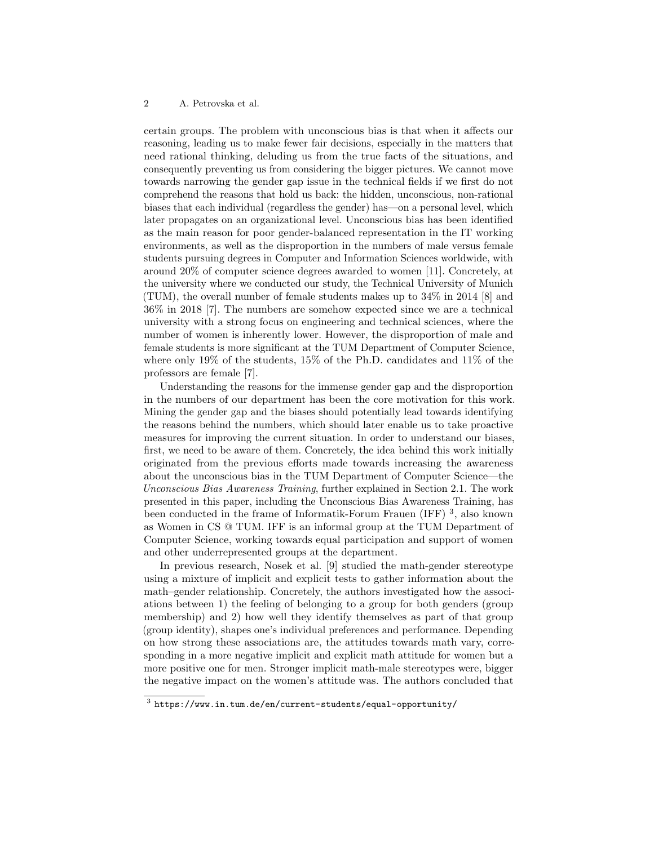certain groups. The problem with unconscious bias is that when it affects our reasoning, leading us to make fewer fair decisions, especially in the matters that need rational thinking, deluding us from the true facts of the situations, and consequently preventing us from considering the bigger pictures. We cannot move towards narrowing the gender gap issue in the technical fields if we first do not comprehend the reasons that hold us back: the hidden, unconscious, non-rational biases that each individual (regardless the gender) has—on a personal level, which later propagates on an organizational level. Unconscious bias has been identified as the main reason for poor gender-balanced representation in the IT working environments, as well as the disproportion in the numbers of male versus female students pursuing degrees in Computer and Information Sciences worldwide, with around 20% of computer science degrees awarded to women [11]. Concretely, at the university where we conducted our study, the Technical University of Munich (TUM), the overall number of female students makes up to 34% in 2014 [8] and 36% in 2018 [7]. The numbers are somehow expected since we are a technical university with a strong focus on engineering and technical sciences, where the number of women is inherently lower. However, the disproportion of male and female students is more significant at the TUM Department of Computer Science, where only 19% of the students,  $15\%$  of the Ph.D. candidates and  $11\%$  of the professors are female [7].

Understanding the reasons for the immense gender gap and the disproportion in the numbers of our department has been the core motivation for this work. Mining the gender gap and the biases should potentially lead towards identifying the reasons behind the numbers, which should later enable us to take proactive measures for improving the current situation. In order to understand our biases, first, we need to be aware of them. Concretely, the idea behind this work initially originated from the previous efforts made towards increasing the awareness about the unconscious bias in the TUM Department of Computer Science—the Unconscious Bias Awareness Training, further explained in Section 2.1. The work presented in this paper, including the Unconscious Bias Awareness Training, has been conducted in the frame of Informatik-Forum Frauen (IFF)<sup>3</sup>, also known as Women in CS @ TUM. IFF is an informal group at the TUM Department of Computer Science, working towards equal participation and support of women and other underrepresented groups at the department.

In previous research, Nosek et al. [9] studied the math-gender stereotype using a mixture of implicit and explicit tests to gather information about the math–gender relationship. Concretely, the authors investigated how the associations between 1) the feeling of belonging to a group for both genders (group membership) and 2) how well they identify themselves as part of that group (group identity), shapes one's individual preferences and performance. Depending on how strong these associations are, the attitudes towards math vary, corresponding in a more negative implicit and explicit math attitude for women but a more positive one for men. Stronger implicit math-male stereotypes were, bigger the negative impact on the women's attitude was. The authors concluded that

 $^3$  https://www.in.tum.de/en/current-students/equal-opportunity/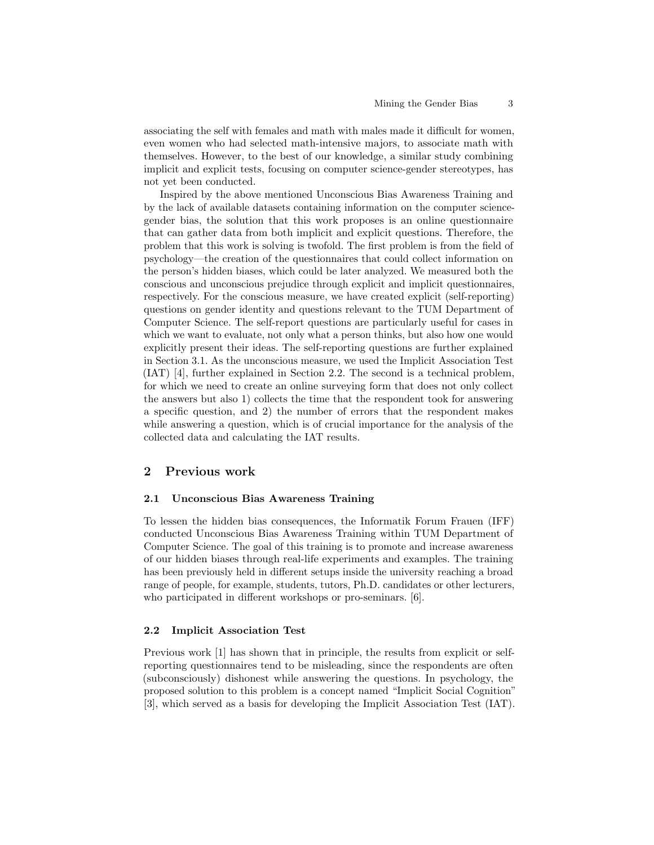associating the self with females and math with males made it difficult for women, even women who had selected math-intensive majors, to associate math with themselves. However, to the best of our knowledge, a similar study combining implicit and explicit tests, focusing on computer science-gender stereotypes, has not yet been conducted.

Inspired by the above mentioned Unconscious Bias Awareness Training and by the lack of available datasets containing information on the computer sciencegender bias, the solution that this work proposes is an online questionnaire that can gather data from both implicit and explicit questions. Therefore, the problem that this work is solving is twofold. The first problem is from the field of psychology—the creation of the questionnaires that could collect information on the person's hidden biases, which could be later analyzed. We measured both the conscious and unconscious prejudice through explicit and implicit questionnaires, respectively. For the conscious measure, we have created explicit (self-reporting) questions on gender identity and questions relevant to the TUM Department of Computer Science. The self-report questions are particularly useful for cases in which we want to evaluate, not only what a person thinks, but also how one would explicitly present their ideas. The self-reporting questions are further explained in Section 3.1. As the unconscious measure, we used the Implicit Association Test (IAT) [4], further explained in Section 2.2. The second is a technical problem, for which we need to create an online surveying form that does not only collect the answers but also 1) collects the time that the respondent took for answering a specific question, and 2) the number of errors that the respondent makes while answering a question, which is of crucial importance for the analysis of the collected data and calculating the IAT results.

### 2 Previous work

### 2.1 Unconscious Bias Awareness Training

To lessen the hidden bias consequences, the Informatik Forum Frauen (IFF) conducted Unconscious Bias Awareness Training within TUM Department of Computer Science. The goal of this training is to promote and increase awareness of our hidden biases through real-life experiments and examples. The training has been previously held in different setups inside the university reaching a broad range of people, for example, students, tutors, Ph.D. candidates or other lecturers, who participated in different workshops or pro-seminars. [6].

#### 2.2 Implicit Association Test

Previous work [1] has shown that in principle, the results from explicit or selfreporting questionnaires tend to be misleading, since the respondents are often (subconsciously) dishonest while answering the questions. In psychology, the proposed solution to this problem is a concept named "Implicit Social Cognition" [3], which served as a basis for developing the Implicit Association Test (IAT).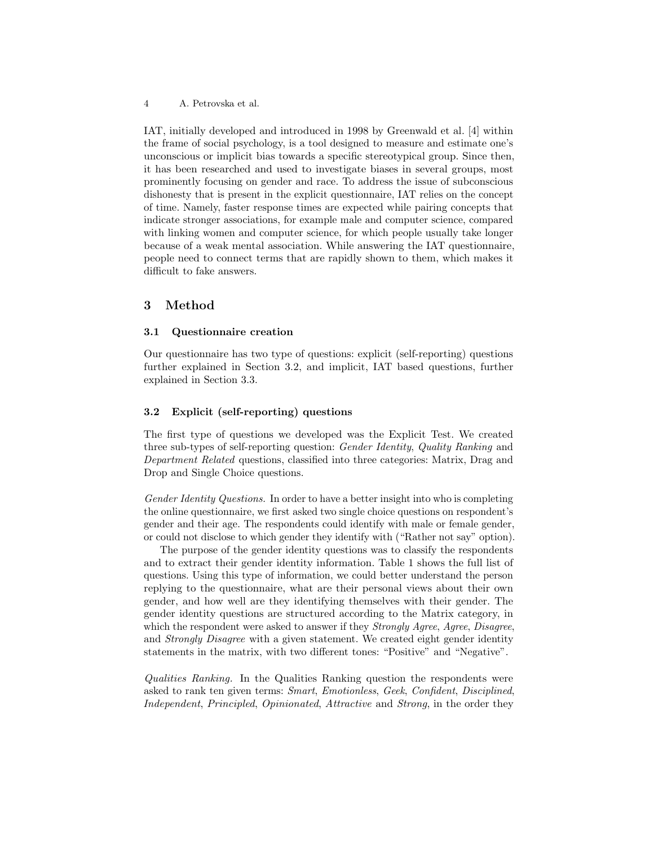IAT, initially developed and introduced in 1998 by Greenwald et al. [4] within the frame of social psychology, is a tool designed to measure and estimate one's unconscious or implicit bias towards a specific stereotypical group. Since then, it has been researched and used to investigate biases in several groups, most prominently focusing on gender and race. To address the issue of subconscious dishonesty that is present in the explicit questionnaire, IAT relies on the concept of time. Namely, faster response times are expected while pairing concepts that indicate stronger associations, for example male and computer science, compared with linking women and computer science, for which people usually take longer because of a weak mental association. While answering the IAT questionnaire, people need to connect terms that are rapidly shown to them, which makes it difficult to fake answers.

# 3 Method

#### 3.1 Questionnaire creation

Our questionnaire has two type of questions: explicit (self-reporting) questions further explained in Section 3.2, and implicit, IAT based questions, further explained in Section 3.3.

### 3.2 Explicit (self-reporting) questions

The first type of questions we developed was the Explicit Test. We created three sub-types of self-reporting question: Gender Identity, Quality Ranking and Department Related questions, classified into three categories: Matrix, Drag and Drop and Single Choice questions.

Gender Identity Questions. In order to have a better insight into who is completing the online questionnaire, we first asked two single choice questions on respondent's gender and their age. The respondents could identify with male or female gender, or could not disclose to which gender they identify with ("Rather not say" option).

The purpose of the gender identity questions was to classify the respondents and to extract their gender identity information. Table 1 shows the full list of questions. Using this type of information, we could better understand the person replying to the questionnaire, what are their personal views about their own gender, and how well are they identifying themselves with their gender. The gender identity questions are structured according to the Matrix category, in which the respondent were asked to answer if they Strongly Agree, Agree, Disagree, and *Strongly Disagree* with a given statement. We created eight gender identity statements in the matrix, with two different tones: "Positive" and "Negative".

Qualities Ranking. In the Qualities Ranking question the respondents were asked to rank ten given terms: Smart, Emotionless, Geek, Confident, Disciplined, Independent, Principled, Opinionated, Attractive and Strong, in the order they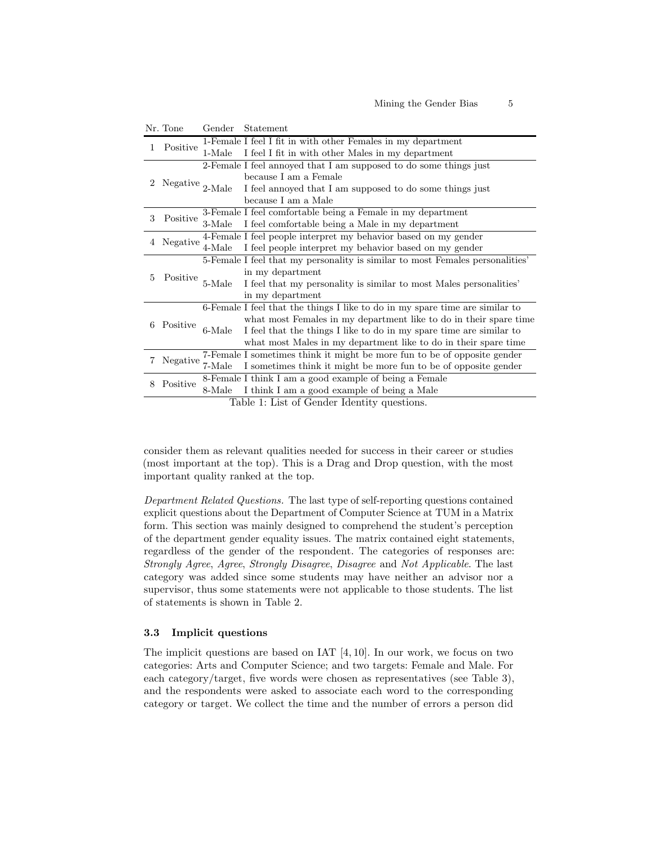|              | Nr. Tone | Gender              | Statement                                                                     |
|--------------|----------|---------------------|-------------------------------------------------------------------------------|
| $\mathbf{1}$ | Positive |                     | 1-Female I feel I fit in with other Females in my department                  |
|              |          | 1-Male              | I feel I fit in with other Males in my department                             |
| 2            | Negative |                     | 2-Female I feel annoyed that I am supposed to do some things just             |
|              |          | $2\mbox{-\sf Male}$ | because I am a Female                                                         |
|              |          |                     | I feel annoyed that I am supposed to do some things just                      |
|              |          |                     | because I am a Male                                                           |
| 3            | Positive |                     | 3-Female I feel comfortable being a Female in my department                   |
|              |          | 3-Male              | I feel comfortable being a Male in my department                              |
| 4            | Negative |                     | 4-Female I feel people interpret my behavior based on my gender               |
|              |          | 4-Male              | I feel people interpret my behavior based on my gender                        |
| $\mathbf{5}$ | Positive |                     | 5-Female I feel that my personality is similar to most Females personalities' |
|              |          | 5-Male              | in my department                                                              |
|              |          |                     | I feel that my personality is similar to most Males personalities'            |
|              |          |                     | in my department                                                              |
| 6            | Positive |                     | 6-Female I feel that the things I like to do in my spare time are similar to  |
|              |          | 6-Male              | what most Females in my department like to do in their spare time             |
|              |          |                     | I feel that the things I like to do in my spare time are similar to           |
|              |          |                     | what most Males in my department like to do in their spare time               |
| 7            | Negative |                     | 7-Female I sometimes think it might be more fun to be of opposite gender      |
|              |          | 7-Male              | I sometimes think it might be more fun to be of opposite gender               |
| 8            | Positive |                     | 8-Female I think I am a good example of being a Female                        |
|              |          | 8-Male              | I think I am a good example of being a Male                                   |
|              |          |                     |                                                                               |

Table 1: List of Gender Identity questions.

consider them as relevant qualities needed for success in their career or studies (most important at the top). This is a Drag and Drop question, with the most important quality ranked at the top.

Department Related Questions. The last type of self-reporting questions contained explicit questions about the Department of Computer Science at TUM in a Matrix form. This section was mainly designed to comprehend the student's perception of the department gender equality issues. The matrix contained eight statements, regardless of the gender of the respondent. The categories of responses are: Strongly Agree, Agree, Strongly Disagree, Disagree and Not Applicable. The last category was added since some students may have neither an advisor nor a supervisor, thus some statements were not applicable to those students. The list of statements is shown in Table 2.

#### 3.3 Implicit questions

The implicit questions are based on IAT  $[4, 10]$ . In our work, we focus on two categories: Arts and Computer Science; and two targets: Female and Male. For each category/target, five words were chosen as representatives (see Table 3), and the respondents were asked to associate each word to the corresponding category or target. We collect the time and the number of errors a person did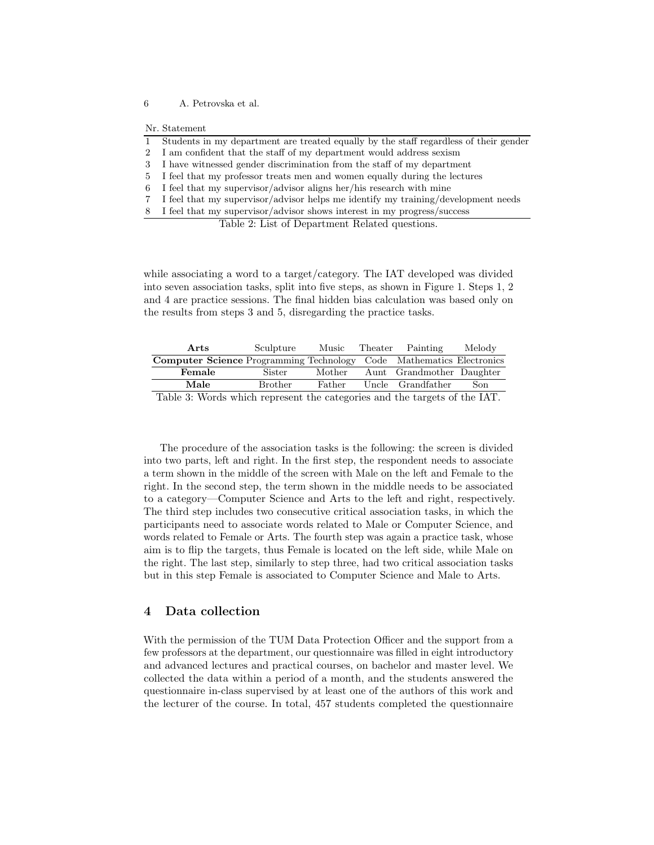Nr. Statement

- 1 Students in my department are treated equally by the staff regardless of their gender
- 2 I am confident that the staff of my department would address sexism
- 3 I have witnessed gender discrimination from the staff of my department
- 5 I feel that my professor treats men and women equally during the lectures
- 6 I feel that my supervisor/advisor aligns her/his research with mine
- 7 I feel that my supervisor/advisor helps me identify my training/development needs
- 8 I feel that my supervisor/advisor shows interest in my progress/success

Table 2: List of Department Related questions.

while associating a word to a target/category. The IAT developed was divided into seven association tasks, split into five steps, as shown in Figure 1. Steps 1, 2 and 4 are practice sessions. The final hidden bias calculation was based only on the results from steps 3 and 5, disregarding the practice tasks.

| Arts                                                                        | Sculpture      | Music  | Theater Painting          | Melody |
|-----------------------------------------------------------------------------|----------------|--------|---------------------------|--------|
| <b>Computer Science</b> Programming Technology Code Mathematics Electronics |                |        |                           |        |
| Female                                                                      | Sister         | Mother | Aunt Grandmother Daughter |        |
| Male                                                                        | <b>Brother</b> | Father | Uncle Grandfather         | Son    |

Table 3: Words which represent the categories and the targets of the IAT.

The procedure of the association tasks is the following: the screen is divided into two parts, left and right. In the first step, the respondent needs to associate a term shown in the middle of the screen with Male on the left and Female to the right. In the second step, the term shown in the middle needs to be associated to a category—Computer Science and Arts to the left and right, respectively. The third step includes two consecutive critical association tasks, in which the participants need to associate words related to Male or Computer Science, and words related to Female or Arts. The fourth step was again a practice task, whose aim is to flip the targets, thus Female is located on the left side, while Male on the right. The last step, similarly to step three, had two critical association tasks but in this step Female is associated to Computer Science and Male to Arts.

# 4 Data collection

With the permission of the TUM Data Protection Officer and the support from a few professors at the department, our questionnaire was filled in eight introductory and advanced lectures and practical courses, on bachelor and master level. We collected the data within a period of a month, and the students answered the questionnaire in-class supervised by at least one of the authors of this work and the lecturer of the course. In total, 457 students completed the questionnaire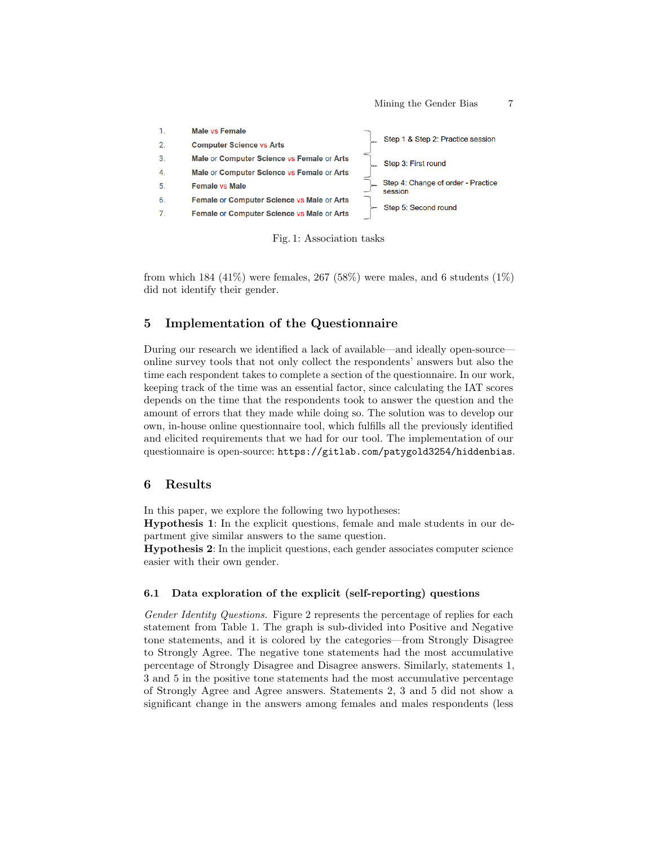

Fig. 1: Association tasks

from which 184 (41%) were females,  $267$  (58%) were males, and 6 students (1%) did not identify their gender.

# 5 Implementation of the Questionnaire

During our research we identified a lack of available—and ideally open-source online survey tools that not only collect the respondents' answers but also the time each respondent takes to complete a section of the questionnaire. In our work, keeping track of the time was an essential factor, since calculating the IAT scores depends on the time that the respondents took to answer the question and the amount of errors that they made while doing so. The solution was to develop our own, in-house online questionnaire tool, which fulfills all the previously identified and elicited requirements that we had for our tool. The implementation of our questionnaire is open-source: https://gitlab.com/patygold3254/hiddenbias.

### 6 Results

In this paper, we explore the following two hypotheses:

Hypothesis 1: In the explicit questions, female and male students in our department give similar answers to the same question.

Hypothesis 2: In the implicit questions, each gender associates computer science easier with their own gender.

### 6.1 Data exploration of the explicit (self-reporting) questions

Gender Identity Questions. Figure 2 represents the percentage of replies for each statement from Table 1. The graph is sub-divided into Positive and Negative tone statements, and it is colored by the categories—from Strongly Disagree to Strongly Agree. The negative tone statements had the most accumulative percentage of Strongly Disagree and Disagree answers. Similarly, statements 1, 3 and 5 in the positive tone statements had the most accumulative percentage of Strongly Agree and Agree answers. Statements 2, 3 and 5 did not show a significant change in the answers among females and males respondents (less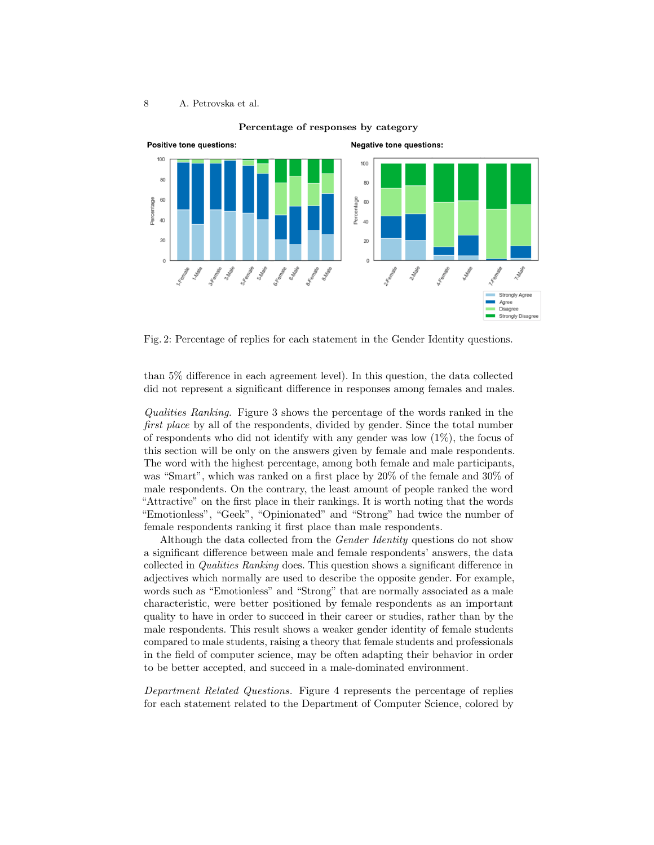

Percentage of responses by category

Fig. 2: Percentage of replies for each statement in the Gender Identity questions.

than 5% difference in each agreement level). In this question, the data collected did not represent a significant difference in responses among females and males.

Qualities Ranking. Figure 3 shows the percentage of the words ranked in the first place by all of the respondents, divided by gender. Since the total number of respondents who did not identify with any gender was low  $(1\%)$ , the focus of this section will be only on the answers given by female and male respondents. The word with the highest percentage, among both female and male participants, was "Smart", which was ranked on a first place by 20% of the female and 30% of male respondents. On the contrary, the least amount of people ranked the word "Attractive" on the first place in their rankings. It is worth noting that the words "Emotionless", "Geek", "Opinionated" and "Strong" had twice the number of female respondents ranking it first place than male respondents.

Although the data collected from the Gender Identity questions do not show a significant difference between male and female respondents' answers, the data collected in Qualities Ranking does. This question shows a significant difference in adjectives which normally are used to describe the opposite gender. For example, words such as "Emotionless" and "Strong" that are normally associated as a male characteristic, were better positioned by female respondents as an important quality to have in order to succeed in their career or studies, rather than by the male respondents. This result shows a weaker gender identity of female students compared to male students, raising a theory that female students and professionals in the field of computer science, may be often adapting their behavior in order to be better accepted, and succeed in a male-dominated environment.

Department Related Questions. Figure 4 represents the percentage of replies for each statement related to the Department of Computer Science, colored by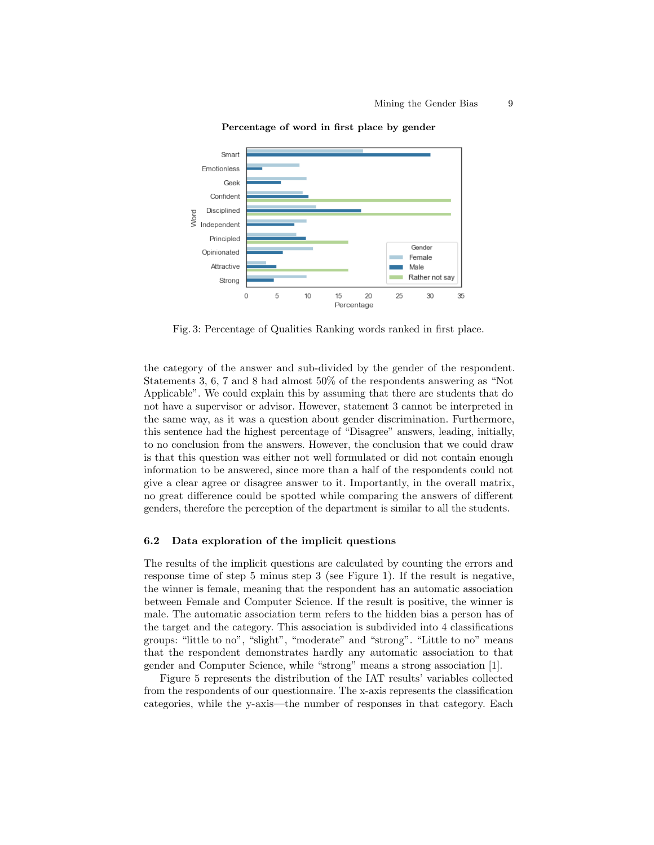

Percentage of word in first place by gender

Fig. 3: Percentage of Qualities Ranking words ranked in first place.

the category of the answer and sub-divided by the gender of the respondent. Statements 3, 6, 7 and 8 had almost 50% of the respondents answering as "Not Applicable". We could explain this by assuming that there are students that do not have a supervisor or advisor. However, statement 3 cannot be interpreted in the same way, as it was a question about gender discrimination. Furthermore, this sentence had the highest percentage of "Disagree" answers, leading, initially, to no conclusion from the answers. However, the conclusion that we could draw is that this question was either not well formulated or did not contain enough information to be answered, since more than a half of the respondents could not give a clear agree or disagree answer to it. Importantly, in the overall matrix, no great difference could be spotted while comparing the answers of different genders, therefore the perception of the department is similar to all the students.

### 6.2 Data exploration of the implicit questions

The results of the implicit questions are calculated by counting the errors and response time of step 5 minus step 3 (see Figure 1). If the result is negative, the winner is female, meaning that the respondent has an automatic association between Female and Computer Science. If the result is positive, the winner is male. The automatic association term refers to the hidden bias a person has of the target and the category. This association is subdivided into 4 classifications groups: "little to no", "slight", "moderate" and "strong". "Little to no" means that the respondent demonstrates hardly any automatic association to that gender and Computer Science, while "strong" means a strong association [1].

Figure 5 represents the distribution of the IAT results' variables collected from the respondents of our questionnaire. The x-axis represents the classification categories, while the y-axis—the number of responses in that category. Each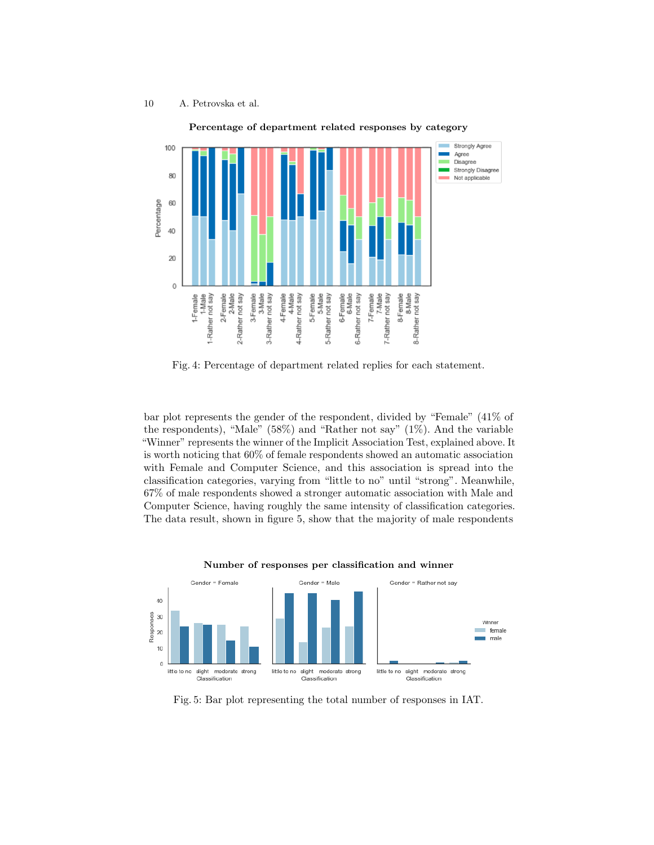

#### Percentage of department related responses by category

Fig. 4: Percentage of department related replies for each statement.

bar plot represents the gender of the respondent, divided by "Female" (41% of the respondents), "Male" (58%) and "Rather not say" (1%). And the variable "Winner" represents the winner of the Implicit Association Test, explained above. It is worth noticing that 60% of female respondents showed an automatic association with Female and Computer Science, and this association is spread into the classification categories, varying from "little to no" until "strong". Meanwhile, 67% of male respondents showed a stronger automatic association with Male and Computer Science, having roughly the same intensity of classification categories. The data result, shown in figure 5, show that the majority of male respondents



Number of responses per classification and winner

Fig. 5: Bar plot representing the total number of responses in IAT.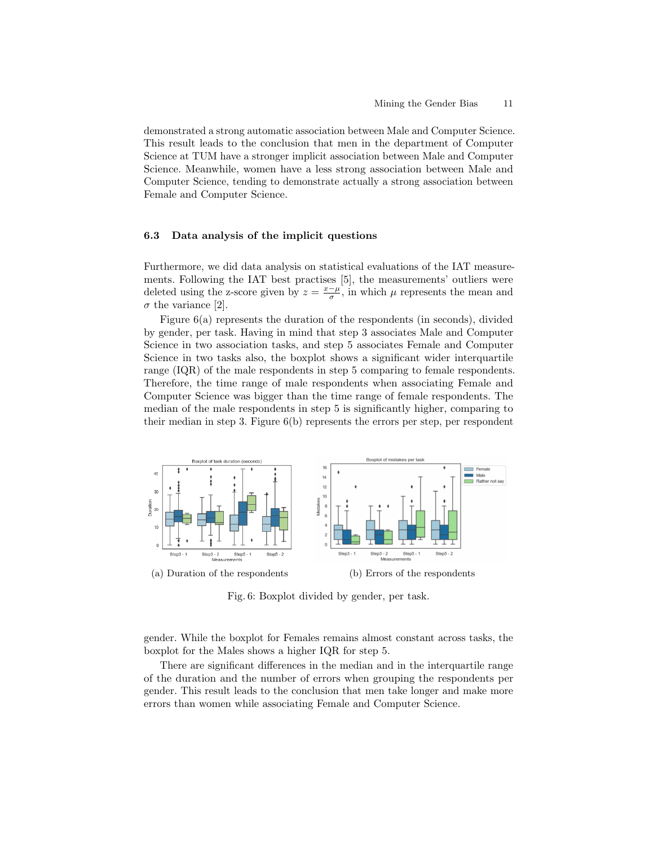demonstrated a strong automatic association between Male and Computer Science. This result leads to the conclusion that men in the department of Computer Science at TUM have a stronger implicit association between Male and Computer Science. Meanwhile, women have a less strong association between Male and Computer Science, tending to demonstrate actually a strong association between Female and Computer Science.

### 6.3 Data analysis of the implicit questions

Furthermore, we did data analysis on statistical evaluations of the IAT measurements. Following the IAT best practises [5], the measurements' outliers were deleted using the z-score given by  $z = \frac{x-\mu}{\sigma}$ , in which  $\mu$  represents the mean and  $\sigma$  the variance [2].

Figure 6(a) represents the duration of the respondents (in seconds), divided by gender, per task. Having in mind that step 3 associates Male and Computer Science in two association tasks, and step 5 associates Female and Computer Science in two tasks also, the boxplot shows a significant wider interquartile range (IQR) of the male respondents in step 5 comparing to female respondents. Therefore, the time range of male respondents when associating Female and Computer Science was bigger than the time range of female respondents. The median of the male respondents in step 5 is significantly higher, comparing to their median in step 3. Figure 6(b) represents the errors per step, per respondent



Fig. 6: Boxplot divided by gender, per task.

gender. While the boxplot for Females remains almost constant across tasks, the boxplot for the Males shows a higher IQR for step 5.

There are significant differences in the median and in the interquartile range of the duration and the number of errors when grouping the respondents per gender. This result leads to the conclusion that men take longer and make more errors than women while associating Female and Computer Science.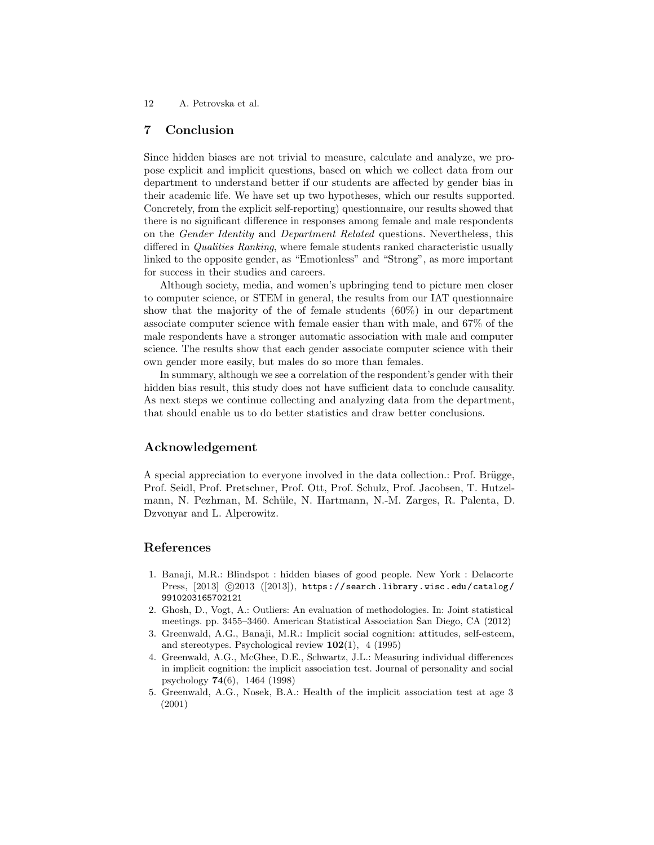# 7 Conclusion

Since hidden biases are not trivial to measure, calculate and analyze, we propose explicit and implicit questions, based on which we collect data from our department to understand better if our students are affected by gender bias in their academic life. We have set up two hypotheses, which our results supported. Concretely, from the explicit self-reporting) questionnaire, our results showed that there is no significant difference in responses among female and male respondents on the Gender Identity and Department Related questions. Nevertheless, this differed in Qualities Ranking, where female students ranked characteristic usually linked to the opposite gender, as "Emotionless" and "Strong", as more important for success in their studies and careers.

Although society, media, and women's upbringing tend to picture men closer to computer science, or STEM in general, the results from our IAT questionnaire show that the majority of the of female students (60%) in our department associate computer science with female easier than with male, and 67% of the male respondents have a stronger automatic association with male and computer science. The results show that each gender associate computer science with their own gender more easily, but males do so more than females.

In summary, although we see a correlation of the respondent's gender with their hidden bias result, this study does not have sufficient data to conclude causality. As next steps we continue collecting and analyzing data from the department, that should enable us to do better statistics and draw better conclusions.

# Acknowledgement

A special appreciation to everyone involved in the data collection.: Prof. Brügge, Prof. Seidl, Prof. Pretschner, Prof. Ott, Prof. Schulz, Prof. Jacobsen, T. Hutzelmann, N. Pezhman, M. Schüle, N. Hartmann, N.-M. Zarges, R. Palenta, D. Dzvonyar and L. Alperowitz.

# References

- 1. Banaji, M.R.: Blindspot : hidden biases of good people. New York : Delacorte Press,  $[2013]$   $\odot$ 2013  $([2013])$ , https://search.library.wisc.edu/catalog/ 9910203165702121
- 2. Ghosh, D., Vogt, A.: Outliers: An evaluation of methodologies. In: Joint statistical meetings. pp. 3455–3460. American Statistical Association San Diego, CA (2012)
- 3. Greenwald, A.G., Banaji, M.R.: Implicit social cognition: attitudes, self-esteem, and stereotypes. Psychological review 102(1), 4 (1995)
- 4. Greenwald, A.G., McGhee, D.E., Schwartz, J.L.: Measuring individual differences in implicit cognition: the implicit association test. Journal of personality and social psychology 74(6), 1464 (1998)
- 5. Greenwald, A.G., Nosek, B.A.: Health of the implicit association test at age 3 (2001)